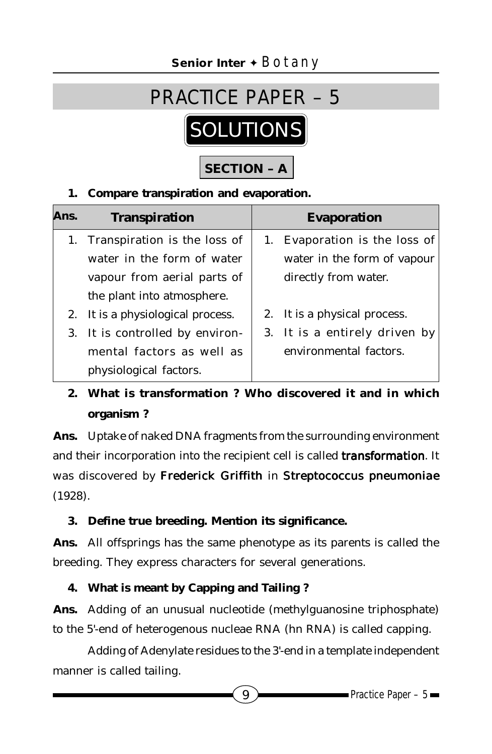# **SOLUTIONS** PRACTICE PAPER – 5

# **SECTION – A**

#### **1. Compare transpiration and evaporation.**

| Ans. | <b>Transpiration</b>              | <b>Evaporation</b>            |
|------|-----------------------------------|-------------------------------|
|      | 1. Transpiration is the loss of   | 1. Evaporation is the loss of |
|      | water in the form of water        | water in the form of vapour   |
|      | vapour from aerial parts of       | directly from water.          |
|      | the plant into atmosphere.        |                               |
|      | 2. It is a physiological process. | 2. It is a physical process.  |
|      | 3. It is controlled by environ-   | 3. It is a entirely driven by |
|      | mental factors as well as         | environmental factors.        |
|      | physiological factors.            |                               |

# **2. What is transformation ? Who discovered it and in which organism ?**

**Ans.** Uptake of naked DNA fragments from the surrounding environment and their incorporation into the recipient cell is called *transformation*. It was discovered by Frederick Griffith in Streptococcus pneumoniae (1928).

## **3. Define true breeding. Mention its significance.**

**Ans.** All offsprings has the same phenotype as its parents is called the breeding. They express characters for several generations.

## **4. What is meant by Capping and Tailing ?**

**Ans.** Adding of an unusual nucleotide (methylguanosine triphosphate) to the 5'-end of heterogenous nucleae RNA (hn RNA) is called capping.

Adding of Adenylate residues to the 3'-end in a template independent manner is called tailing.

 $9$  Practice Paper – 5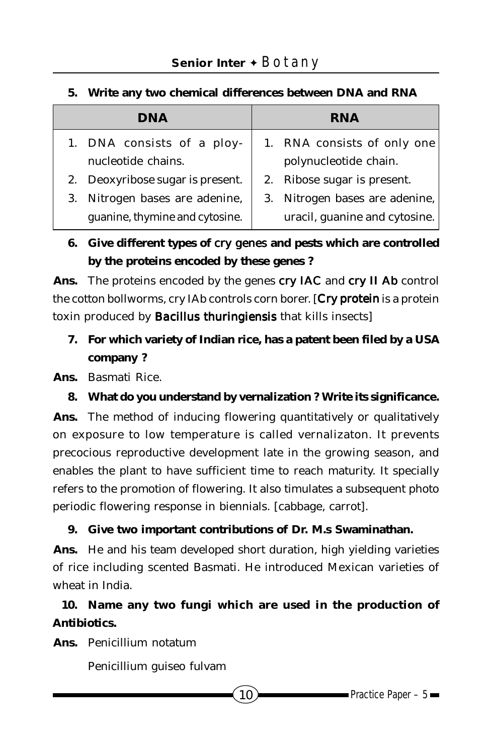## **Senior Inter** ✦ Botany

| <b>DNA</b>                       | <b>RNA</b>                     |  |  |  |
|----------------------------------|--------------------------------|--|--|--|
| 1. DNA consists of a ploy-       | 1. RNA consists of only one    |  |  |  |
| nucleotide chains.               | polynucleotide chain.          |  |  |  |
| 2. Deoxyribose sugar is present. | 2. Ribose sugar is present.    |  |  |  |
| 3. Nitrogen bases are adenine,   | 3. Nitrogen bases are adenine, |  |  |  |
| guanine, thymine and cytosine.   | uracil, guanine and cytosine.  |  |  |  |
|                                  |                                |  |  |  |

#### **5. Write any two chemical differences between DNA and RNA**

## **6. Give different types of** *cry genes* **and pests which are controlled by the proteins encoded by these genes ?**

**Ans.** The proteins encoded by the genes *cry IAC* and *cry II Ab* control the cotton bollworms, cry IAb controls corn borer. [*Cry protein* is a protein toxin produced by *Bacillus thuringiensis* that kills insects]

**7. For which variety of Indian rice, has a patent been filed by a USA company ?**

**Ans.** Basmati Rice.

**8. What do you understand by vernalization ? Write its significance.**

**Ans.** The method of inducing flowering quantitatively or qualitatively on exposure to low temperature is called vernalizaton. It prevents precocious reproductive development late in the growing season, and enables the plant to have sufficient time to reach maturity. It specially refers to the promotion of flowering. It also timulates a subsequent photo periodic flowering response in biennials. [cabbage, carrot].

#### **9. Give two important contributions of Dr. M.s Swaminathan.**

**Ans.** He and his team developed short duration, high yielding varieties of rice including scented Basmati. He introduced Mexican varieties of wheat in India.

## **10. Name any two fungi which are used in the production of Antibiotics.**

**Ans.** Penicillium notatum

Penicillium guiseo fulvam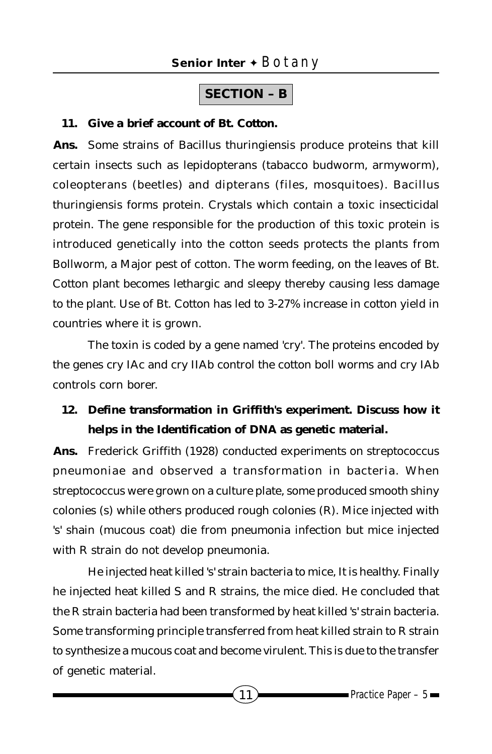## **SECTION – B**

#### **11. Give a brief account of Bt. Cotton.**

**Ans.** Some strains of Bacillus thuringiensis produce proteins that kill certain insects such as lepidopterans (tabacco budworm, armyworm), coleopterans (beetles) and dipterans (files, mosquitoes). Bacillus thuringiensis forms protein. Crystals which contain a toxic insecticidal protein. The gene responsible for the production of this toxic protein is introduced genetically into the cotton seeds protects the plants from Bollworm, a Major pest of cotton. The worm feeding, on the leaves of Bt. Cotton plant becomes lethargic and sleepy thereby causing less damage to the plant. Use of Bt. Cotton has led to 3-27% increase in cotton yield in countries where it is grown.

The toxin is coded by a gene named 'cry'. The proteins encoded by the genes cry IAc and cry IIAb control the cotton boll worms and cry IAb controls corn borer.

## **12. Define transformation in Griffith's experiment. Discuss how it helps in the Identification of DNA as genetic material.**

**Ans.** Frederick Griffith (1928) conducted experiments on streptococcus pneumoniae and observed a transformation in bacteria. When streptococcus were grown on a culture plate, some produced smooth shiny colonies (s) while others produced rough colonies (R). Mice injected with 's' shain (mucous coat) die from pneumonia infection but mice injected with R strain do not develop pneumonia.

He injected heat killed 's' strain bacteria to mice, It is healthy. Finally he injected heat killed S and R strains, the mice died. He concluded that the R strain bacteria had been transformed by heat killed 's' strain bacteria. Some transforming principle transferred from heat killed strain to R strain to synthesize a mucous coat and become virulent. This is due to the transfer of genetic material.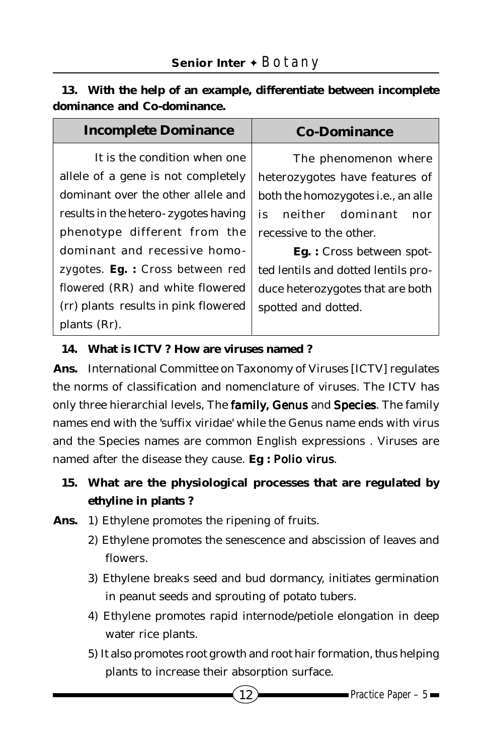|  |  |                             | 13. With the help of an example, differentiate between incomplete |  |
|--|--|-----------------------------|-------------------------------------------------------------------|--|
|  |  | dominance and Co-dominance. |                                                                   |  |

| <b>Incomplete Dominance</b>             | <b>Co-Dominance</b>                        |
|-----------------------------------------|--------------------------------------------|
| It is the condition when one            | The phenomenon where                       |
| allele of a gene is not completely      | heterozygotes have features of             |
| dominant over the other allele and      | both the homozygotes <i>i.e.</i> , an alle |
| results in the hetero-zygotes having    | neither dominant<br>is<br>nor              |
| phenotype different from the            | recessive to the other.                    |
| dominant and recessive homo-            | <b>Eg.</b> : Cross between spot-           |
| zygotes. <b>Eg.</b> : Cross between red | ted lentils and dotted lentils pro-        |
| flowered (RR) and white flowered        | duce heterozygotes that are both           |
| (rr) plants results in pink flowered    | spotted and dotted.                        |
| plants (Rr).                            |                                            |

#### **14. What is ICTV ? How are viruses named ?**

**Ans.** International Committee on Taxonomy of Viruses [ICTV] regulates the norms of classification and nomenclature of viruses. The ICTV has only three hierarchial levels, The **family, Genus** and **Species**. The family names end with the 'suffix viridae' while the Genus name ends with virus and the Species names are common English expressions . Viruses are named after the disease they cause. **Eg :** *Polio virus*.

- **15. What are the physiological processes that are regulated by ethyline in plants ?**
- **Ans.** 1) Ethylene promotes the ripening of fruits.
	- 2) Ethylene promotes the senescence and abscission of leaves and flowers.
	- 3) Ethylene breaks seed and bud dormancy, initiates germination in peanut seeds and sprouting of potato tubers.
	- 4) Ethylene promotes rapid internode/petiole elongation in deep water rice plants.
	- 5) It also promotes root growth and root hair formation, thus helping plants to increase their absorption surface.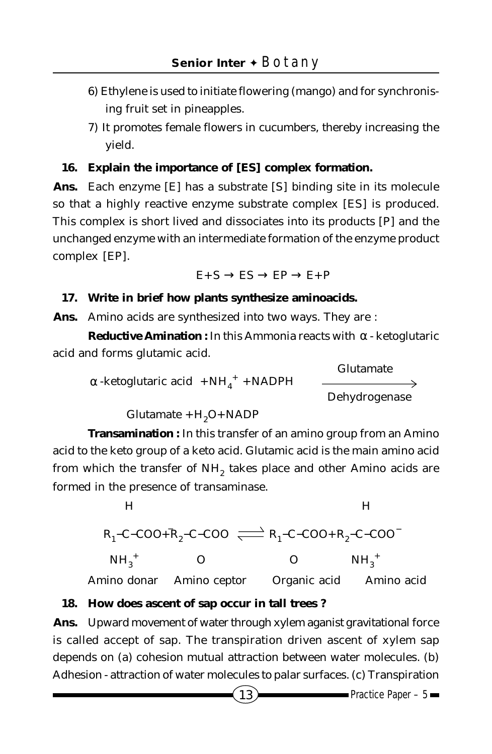- 6) Ethylene is used to initiate flowering (mango) and for synchronising fruit set in pineapples.
- 7) It promotes female flowers in cucumbers, thereby increasing the yield.

#### **16. Explain the importance of [ES] complex formation.**

**Ans.** Each enzyme [E] has a substrate [S] binding site in its molecule so that a highly reactive enzyme substrate complex [ES] is produced. This complex is short lived and dissociates into its products [P] and the unchanged enzyme with an intermediate formation of the enzyme product complex [EP].

$$
\mathrm{E}{+}\mathrm{S} \rightarrow \mathrm{ES} \rightarrow \mathrm{EP} \rightarrow \mathrm{E}{+}\mathrm{P}
$$

#### **17. Write in brief how plants synthesize aminoacids.**

**Ans.** Amino acids are synthesized into two ways. They are :

**Reductive Amination :** In this Ammonia reacts with α - ketoglutaric acid and forms glutamic acid.

 Glutamate  $\alpha$ -ketoglutaric acid  $+NH_4^+ +NADPH$ Dehydrogenase

$$
Glutamate + H2O + NADP
$$

**Transamination :** In this transfer of an amino group from an Amino acid to the keto group of a keto acid. Glutamic acid is the main amino acid from which the transfer of NH<sub>2</sub> takes place and other Amino acids are formed in the presence of transaminase.



Amino donar Amino ceptor Organic acid Amino acid

#### **18. How does ascent of sap occur in tall trees ?**

**Ans.** Upward movement of water through xylem aganist gravitational force is called accept of sap. The transpiration driven ascent of xylem sap depends on (a) cohesion mutual attraction between water molecules. (b) Adhesion - attraction of water molecules to palar surfaces. (c) Transpiration

 $(13)$  Practice Paper – 5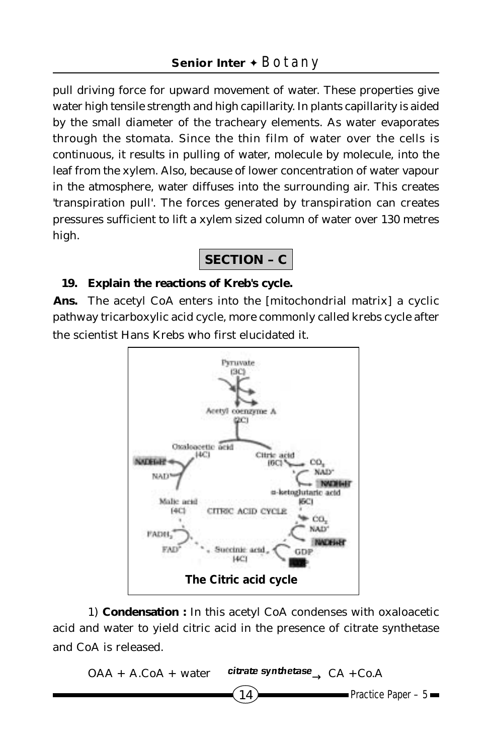pull driving force for upward movement of water. These properties give water high tensile strength and high capillarity. In plants capillarity is aided by the small diameter of the tracheary elements. As water evaporates through the stomata. Since the thin film of water over the cells is continuous, it results in pulling of water, molecule by molecule, into the leaf from the xylem. Also, because of lower concentration of water vapour in the atmosphere, water diffuses into the surrounding air. This creates 'transpiration pull'. The forces generated by transpiration can creates pressures sufficient to lift a xylem sized column of water over 130 metres high.

## **SECTION – C**

#### **19. Explain the reactions of Kreb's cycle.**

**Ans.** The acetyl CoA enters into the [mitochondrial matrix] a cyclic pathway tricarboxylic acid cycle, more commonly called krebs cycle after the scientist Hans Krebs who first elucidated it.



1) **Condensation :** In this acetyl CoA condenses with oxaloacetic acid and water to yield citric acid in the presence of citrate synthetase and CoA is released.

$$
OAA + A.CoA + water \xrightarrow{citrate synthetase} CA + Co.A
$$
  
-Practice Paper - 5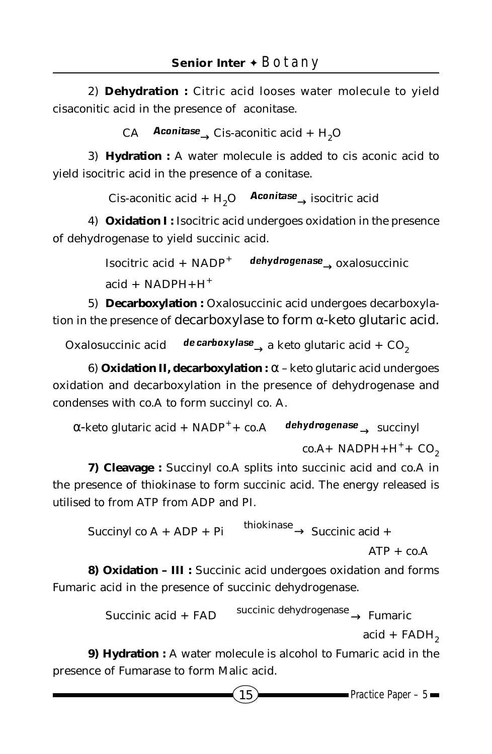2) **Dehydration :** Citric acid looses water molecule to yield cisaconitic acid in the presence of aconitase.

CA **Aconitase** Cis-aconitic acid + H<sub>2</sub>O

3) **Hydration :** A water molecule is added to cis aconic acid to yield isocitric acid in the presence of a conitase.

Cis-aconitic acid + H<sub>2</sub>O **Aconitase** isocitric acid

4) **Oxidation I :** Isocitric acid undergoes oxidation in the presence of dehydrogenase to yield succinic acid.

> Isocitric acid + NADP<sup>+</sup> *dehydrogenase* → oxalosuccinic  $acid + NADPH + H<sup>+</sup>$

5) **Decarboxylation :** Oxalosuccinic acid undergoes decarboxylation in the presence of decarboxylase to form  $\alpha$ -keto glutaric acid.

Oxalosuccinic acid **de carboxylase** a keto glutaric acid + CO<sub>2</sub>

6) **Oxidation II, decarboxylation :** α – keto glutaric acid undergoes oxidation and decarboxylation in the presence of dehydrogenase and condenses with co.A to form succinyl co. A.

 α-keto glutaric acid + NADP++ co.A *dehydrogenase* → succinyl  $co.A+ NADPH+H^++ CO<sub>2</sub>$ 

**7) Cleavage :** Succinyl co.A splits into succinic acid and co.A in the presence of thiokinase to form succinic acid. The energy released is utilised to from ATP from ADP and PI.

Succinyl co A + ADP + Pi  $\xrightarrow{\text{thiokinase}}$  Succinic acid +  $ATP + co.A$ 

**8) Oxidation – III :** Succinic acid undergoes oxidation and forms Fumaric acid in the presence of succinic dehydrogenase.

 $Succinite acid + FAD \xrightarrow{\text{succinite dehydrogenase}} \text{Fumaric}$ 

 $acid + FADH<sub>2</sub>$ 

**9) Hydration :** A water molecule is alcohol to Fumaric acid in the presence of Fumarase to form Malic acid.

 $15$  Practice Paper – 5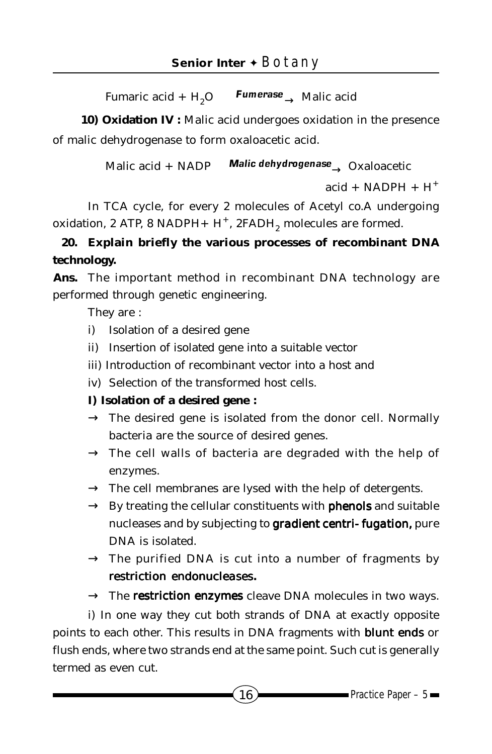Fumaric acid + H<sub>2</sub>O **Fumerase** Malic acid

10) Oxidation IV : Malic acid undergoes oxidation in the presence of malic dehydrogenase to form oxaloacetic acid.

Malic acid + NADP *Malic dehydrogenase* → Oxaloacetic

```
acid + NADPH + H<sup>+</sup>
```
In TCA cycle, for every 2 molecules of Acetyl co.A undergoing oxidation, 2 ATP, 8 NADPH+  $H^+$ , 2FADH<sub>2</sub> molecules are formed.

## **20. Explain briefly the various processes of recombinant DNA technology.**

**Ans.** The important method in recombinant DNA technology are performed through genetic engineering.

They are :

- i) Isolation of a desired gene
- ii) Insertion of isolated gene into a suitable vector
- iii) Introduction of recombinant vector into a host and
- iv) Selection of the transformed host cells.

#### **I) Isolation of a desired gene :**

- $\rightarrow$  The desired gene is isolated from the donor cell. Normally bacteria are the source of desired genes.
- $\rightarrow$  The cell walls of bacteria are degraded with the help of enzymes.
- $\rightarrow$  The cell membranes are lysed with the help of detergents.
- $\rightarrow$  By treating the cellular constituents with **phenols** and suitable nucleases and by subjecting to **gradient centri- fugation**, pure DNA is isolated.
- $\rightarrow$  The purified DNA is cut into a number of fragments by *restriction endonucleases***.**
- $\rightarrow$  The **restriction enzymes** cleave DNA molecules in two ways.

i) In one way they cut both strands of DNA at exactly opposite points to each other. This results in DNA fragments with *blunt ends* or flush ends, where two strands end at the same point. Such cut is generally termed as even cut.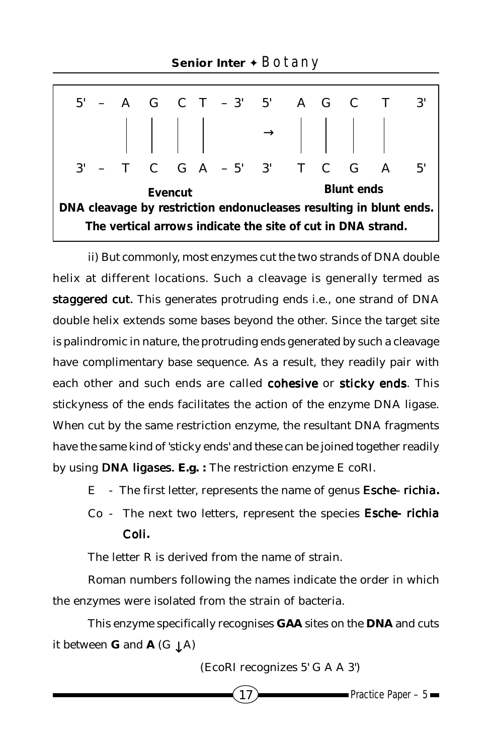|                                                                    |  |  |         |  |  | $5'$ - A G C T - 3' 5' A G C T      |  |                   | $\mathbf{3}^{\prime}$ |
|--------------------------------------------------------------------|--|--|---------|--|--|-------------------------------------|--|-------------------|-----------------------|
|                                                                    |  |  |         |  |  |                                     |  |                   |                       |
|                                                                    |  |  |         |  |  | $3'$ - T C G A - 5' $3'$ T C G A 5' |  |                   |                       |
|                                                                    |  |  | Evencut |  |  |                                     |  | <b>Blunt ends</b> |                       |
| DNA cleavage by restriction endonucleases resulting in blunt ends. |  |  |         |  |  |                                     |  |                   |                       |
| The vertical arrows indicate the site of cut in DNA strand.        |  |  |         |  |  |                                     |  |                   |                       |

ii) But commonly, most enzymes cut the two strands of DNA double helix at different locations. Such a cleavage is generally termed as **staggered cut.** This generates protruding ends i.e., one strand of DNA double helix extends some bases beyond the other. Since the target site is palindromic in nature, the protruding ends generated by such a cleavage have complimentary base sequence. As a result, they readily pair with each other and such ends are called *cohesive* or *sticky ends.* This stickyness of the ends facilitates the action of the enzyme DNA ligase. When cut by the same restriction enzyme, the resultant DNA fragments have the same kind of 'sticky ends' and these can be joined together readily by using *DNA ligases.* **E.g. :** The restriction enzyme E coRI.

- E The first letter, represents the name of genus *Esche- richia***.**
- Co The next two letters, represent the species *Esche- richia Coli***.**

The letter R is derived from the name of strain.

Roman numbers following the names indicate the order in which the enzymes were isolated from the strain of bacteria.

This enzyme specifically recognises **GAA** sites on the **DNA** and cuts it between **G** and **A** (G  $\downarrow$  A)

(EcoRI recognizes 5' G A A 3')

$$
17\,
$$

 $\blacksquare$ Practice Paper – 5 $\blacksquare$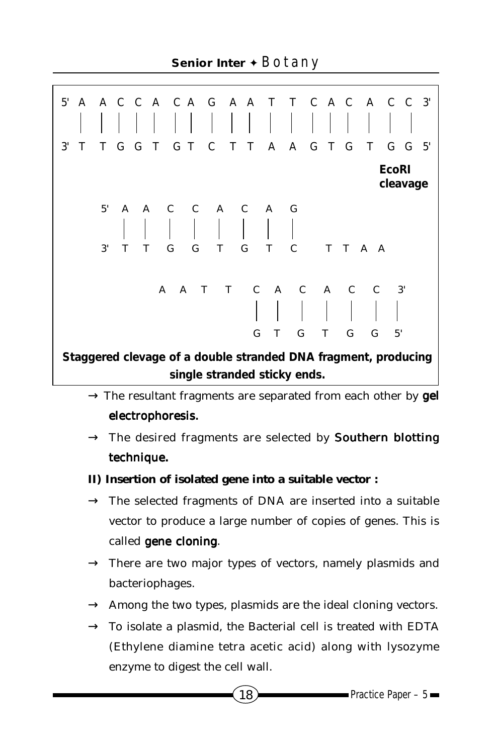**Senior Inter** ✦ Botany

**Staggered clevage of a double stranded DNA fragment, producing single stranded sticky ends.** 5' A A C C A C A G A A T T C A C A C C 3' 3' T T G G T G T C T T A A G T G T G G 5' **EcoRI cleavage** 5' A A C C A C A G 3' T T G G T G T C T T A A G T G T G G 5' A A T T C A C A C C 3'

- $\rightarrow$  The resultant fragments are separated from each other by **gel** *electrophoresis.*
- $\rightarrow$  The desired fragments are selected by **Southern blotting** *technique***.**
- **II) Insertion of isolated gene into a suitable vector :**
- $\rightarrow$  The selected fragments of DNA are inserted into a suitable vector to produce a large number of copies of genes. This is called *gene cloning. cloning*
- $\rightarrow$  There are two major types of vectors, namely plasmids and bacteriophages.
- $\rightarrow$  Among the two types, plasmids are the ideal cloning vectors.
- $\rightarrow$  To isolate a plasmid, the Bacterial cell is treated with EDTA (Ethylene diamine tetra acetic acid) along with lysozyme enzyme to digest the cell wall.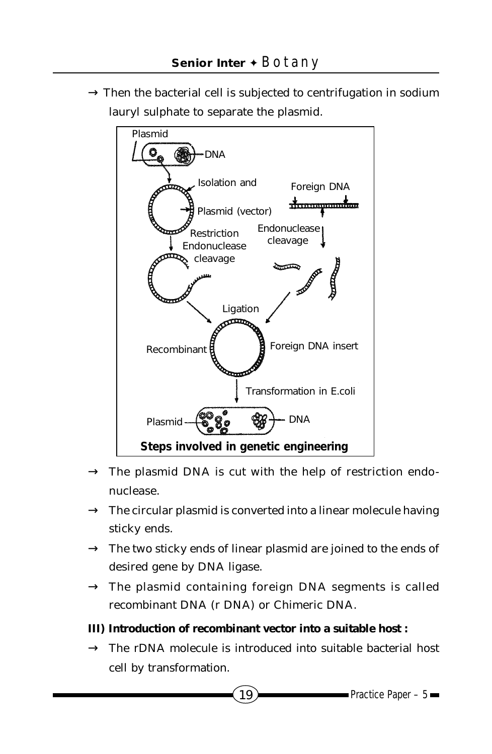$\rightarrow$  Then the bacterial cell is subjected to centrifugation in sodium lauryl sulphate to separate the plasmid.



- $\rightarrow$  The plasmid DNA is cut with the help of restriction endonuclease.
- $\rightarrow$  The circular plasmid is converted into a linear molecule having sticky ends.
- $\rightarrow$  The two sticky ends of linear plasmid are joined to the ends of desired gene by DNA ligase.
- $\rightarrow$  The plasmid containing foreign DNA segments is called recombinant DNA (r DNA) or Chimeric DNA.
- **III) Introduction of recombinant vector into a suitable host :**
- $\rightarrow$  The rDNA molecule is introduced into suitable bacterial host cell by transformation.

 $19$  Practice Paper – 5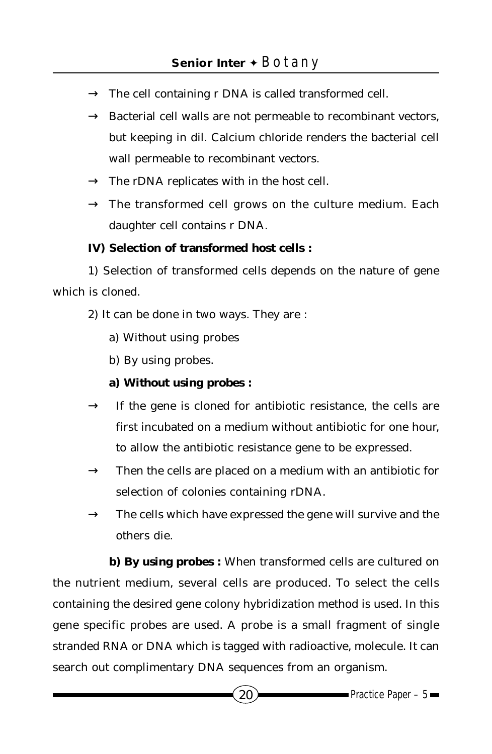- $\rightarrow$  The cell containing r DNA is called transformed cell.
- $\rightarrow$  Bacterial cell walls are not permeable to recombinant vectors, but keeping in dil. Calcium chloride renders the bacterial cell wall permeable to recombinant vectors.
- $\rightarrow$  The rDNA replicates with in the host cell.
- $\rightarrow$  The transformed cell grows on the culture medium. Each daughter cell contains r DNA.

#### **IV) Selection of transformed host cells :**

1) Selection of transformed cells depends on the nature of gene which is cloned.

2) It can be done in two ways. They are :

- a) Without using probes
- b) By using probes.
- **a) Without using probes :**
- $\rightarrow$  If the gene is cloned for antibiotic resistance, the cells are first incubated on a medium without antibiotic for one hour, to allow the antibiotic resistance gene to be expressed.
- $\rightarrow$  Then the cells are placed on a medium with an antibiotic for selection of colonies containing rDNA.
- $\rightarrow$  The cells which have expressed the gene will survive and the others die.

**b) By using probes :** When transformed cells are cultured on the nutrient medium, several cells are produced. To select the cells containing the desired gene colony hybridization method is used. In this gene specific probes are used. A probe is a small fragment of single stranded RNA or DNA which is tagged with radioactive, molecule. It can search out complimentary DNA sequences from an organism.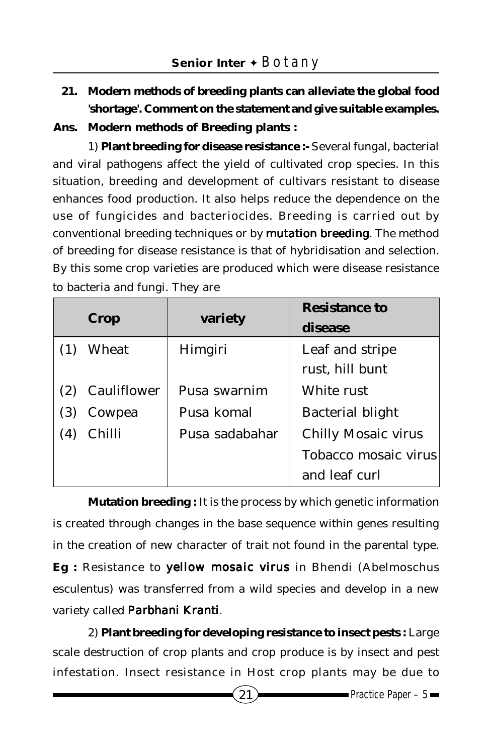**21. Modern methods of breeding plants can alleviate the global food 'shortage'. Comment on the statement and give suitable examples.**

**Ans. Modern methods of Breeding plants :**

1) **Plant breeding for disease resistance :-** Several fungal, bacterial and viral pathogens affect the yield of cultivated crop species. In this situation, breeding and development of cultivars resistant to disease enhances food production. It also helps reduce the dependence on the use of fungicides and bacteriocides. Breeding is carried out by conventional breeding techniques or by *mutation breeding*. The method of breeding for disease resistance is that of hybridisation and selection. By this some crop varieties are produced which were disease resistance to bacteria and fungi. They are

|     | Crop        | variety        | <b>Resistance to</b><br>disease    |
|-----|-------------|----------------|------------------------------------|
|     | Wheat       | Himgiri        | Leaf and stripe<br>rust, hill bunt |
|     | Cauliflower | Pusa swarnim   | White rust                         |
| (3) | Cowpea      | Pusa komal     | <b>Bacterial blight</b>            |
| (4) | Chilli      | Pusa sadabahar | <b>Chilly Mosaic virus</b>         |
|     |             |                | Tobacco mosaic virus               |
|     |             |                | and leaf curl                      |

**Mutation breeding :** It is the process by which genetic information is created through changes in the base sequence within genes resulting in the creation of new character of trait not found in the parental type. **Eg** : Resistance to *yellow mosaic virus* in Bhendi (Abelmoschus esculentus) was transferred from a wild species and develop in a new variety called *Parbhani Kranti arbhani* .

2) **Plant breeding for developing resistance to insect pests :** Large scale destruction of crop plants and crop produce is by insect and pest infestation. Insect resistance in Host crop plants may be due to

 $(21)$  Practice Paper – 5